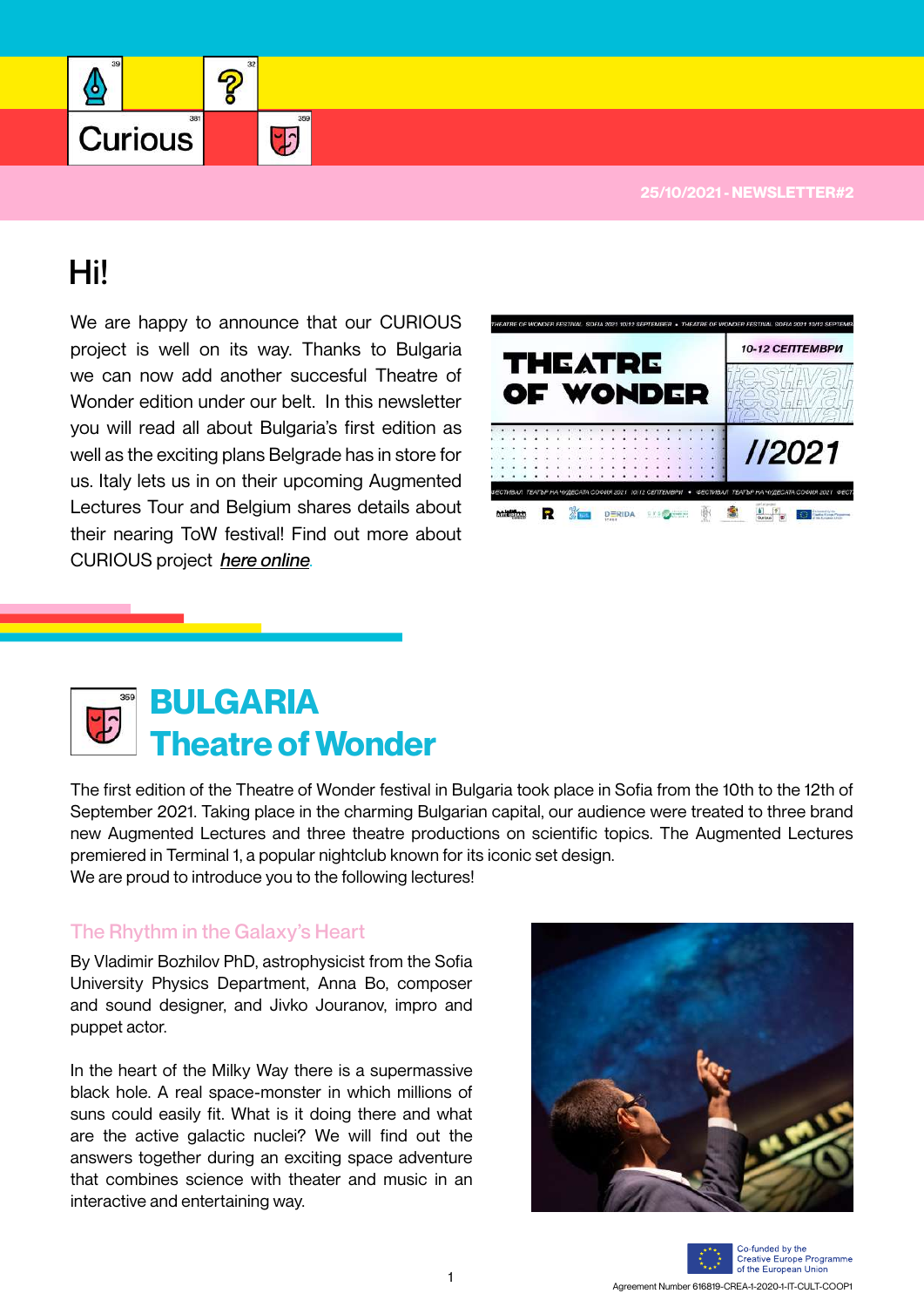**25/10/2021 - NEWSLETTER#2** 

# Hi!

❹

Curious

We are happy to announce that our CURIOUS project is well on its way. Thanks to Bulgaria we can now add another succesful Theatre of Wonder edition under our belt. In this newsletter you will read all about Bulgaria's first edition as well as the exciting plans Belgrade has in store for us. Italy lets us in on their upcoming Augmented Lectures Tour and Belgium shares details about their nearing ToW festival! Find out more about CURIOUS project *[here online](http://www.projectcurious.eu)*.

2

 $\overline{r}$ 



## **Theatre of Wonder BULGARIA**

The first edition of the Theatre of Wonder festival in Bulgaria took place in Sofia from the 10th to the 12th of September 2021. Taking place in the charming Bulgarian capital, our audience were treated to three brand new Augmented Lectures and three theatre productions on scientific topics. The Augmented Lectures premiered in Terminal 1, a popular nightclub known for its iconic set design. We are proud to introduce you to the following lectures!

## The Rhythm in the Galaxy's Heart

By Vladimir Bozhilov PhD, astrophysicist from the Sofia University Physics Department, Anna Bo, composer and sound designer, and Jivko Jouranov, impro and puppet actor.

In the heart of the Milky Way there is a supermassive black hole. A real space-monster in which millions of suns could easily fit. What is it doing there and what are the active galactic nuclei? We will find out the answers together during an exciting space adventure that combines science with theater and music in an interactive and entertaining way.



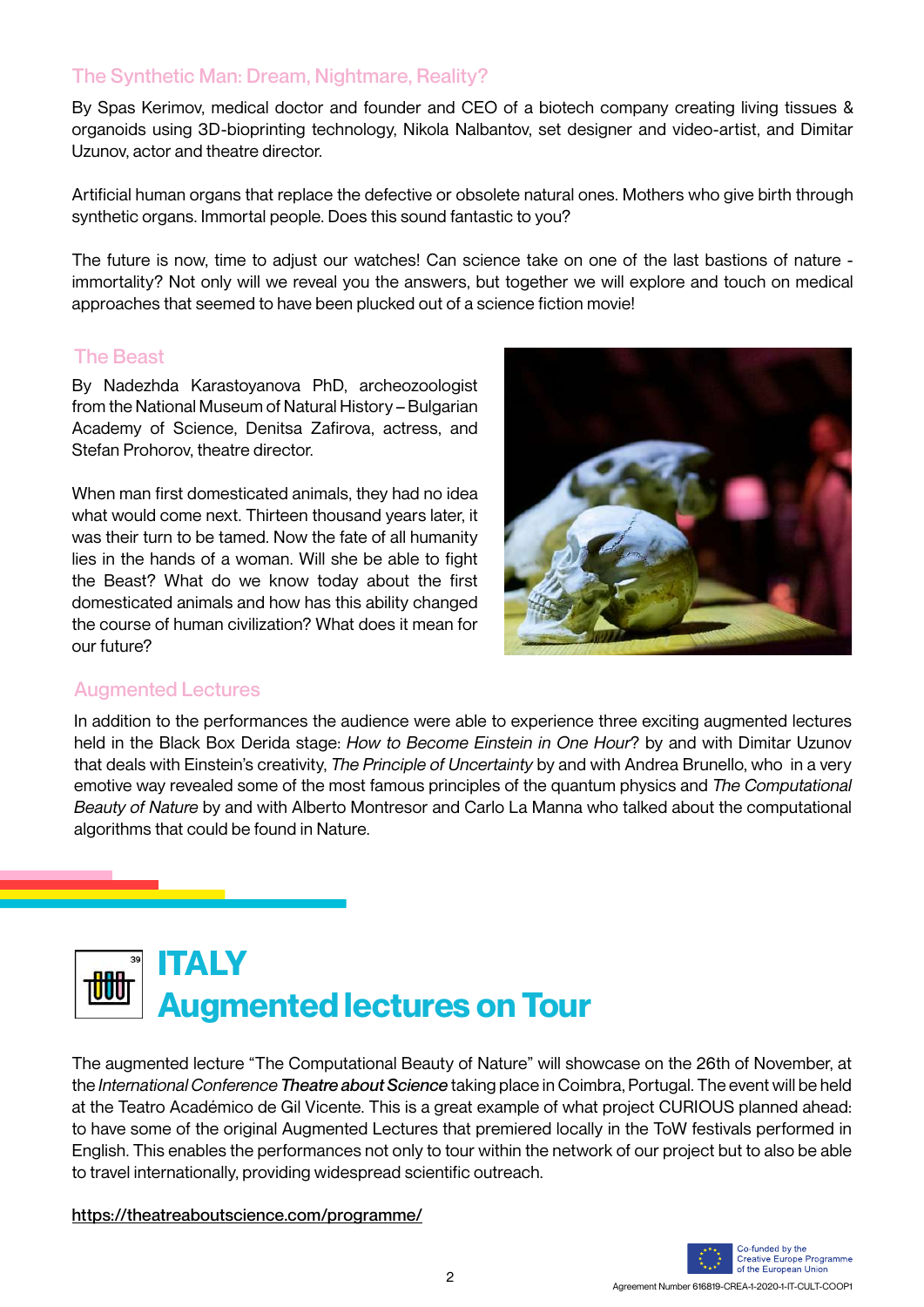### The Synthetic Man: Dream, Nightmare, Reality?

By Spas Kerimov, medical doctor and founder and CEO of a biotech company creating living tissues & organoids using 3D-bioprinting technology, Nikola Nalbantov, set designer and video-artist, and Dimitar Uzunov, actor and theatre director.

Artificial human organs that replace the defective or obsolete natural ones. Mothers who give birth through synthetic organs. Immortal people. Does this sound fantastic to you?

The future is now, time to adjust our watches! Can science take on one of the last bastions of nature immortality? Not only will we reveal you the answers, but together we will explore and touch on medical approaches that seemed to have been plucked out of a science fiction movie!

#### The Beast

By Nadezhda Karastoyanova PhD, archeozoologist from the National Museum of Natural History – Bulgarian Academy of Science, Denitsa Zafirova, actress, and Stefan Prohorov, theatre director.

When man first domesticated animals, they had no idea what would come next. Thirteen thousand years later, it was their turn to be tamed. Now the fate of all humanity lies in the hands of a woman. Will she be able to fight the Beast? What do we know today about the first domesticated animals and how has this ability changed the course of human civilization? What does it mean for our future?



#### Augmented Lectures

In addition to the performances the audience were able to experience three exciting augmented lectures held in the Black Box Derida stage: *How to Become Einstein in One Hour*? by and with Dimitar Uzunov that deals with Einstein's creativity, *The Principle of Uncertainty* by and with Andrea Brunello, who in a very emotive way revealed some of the most famous principles of the quantum physics and *The Computational Beauty of Nature* by and with Alberto Montresor and Carlo La Manna who talked about the computational algorithms that could be found in Nature.



The augmented lecture "The Computational Beauty of Nature" will showcase on the 26th of November, at the *International Conference Theatre about Science* taking place in Coimbra, Portugal. The event will be held at the Teatro Académico de Gil Vicente. This is a great example of what project CURIOUS planned ahead: to have some of the original Augmented Lectures that premiered locally in the ToW festivals performed in English. This enables the performances not only to tour within the network of our project but to also be able to travel internationally, providing widespread scientific outreach.

<https://theatreaboutscience.com/programme/>

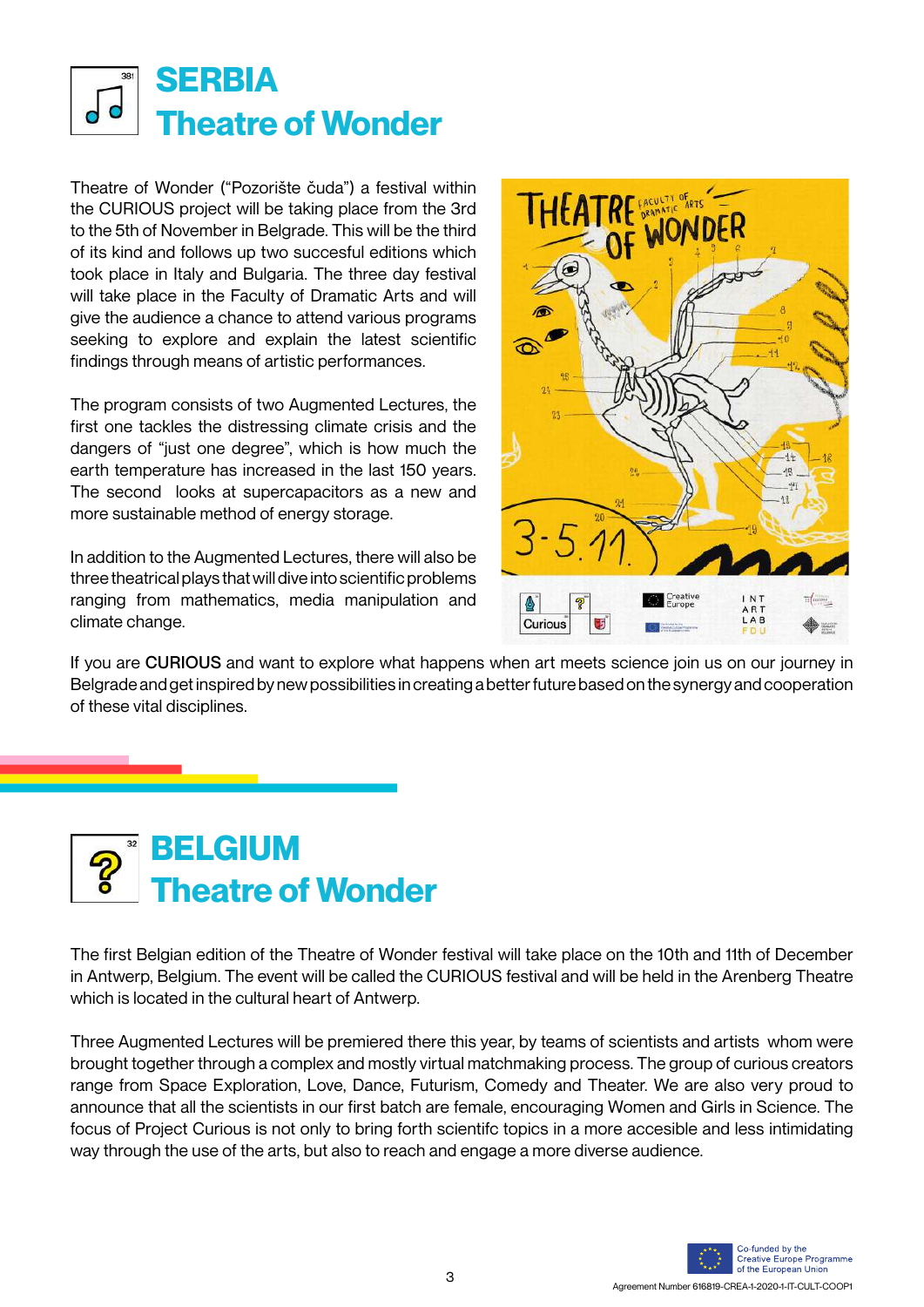

Theatre of Wonder ("Pozorište čuda") a festival within the CURIOUS project will be taking place from the 3rd to the 5th of November in Belgrade. This will be the third of its kind and follows up two succesful editions which took place in Italy and Bulgaria. The three day festival will take place in the Faculty of Dramatic Arts and will give the audience a chance to attend various programs seeking to explore and explain the latest scientific findings through means of artistic performances.

The program consists of two Augmented Lectures, the first one tackles the distressing climate crisis and the dangers of "just one degree", which is how much the earth temperature has increased in the last 150 years. The second looks at supercapacitors as a new and more sustainable method of energy storage.

In addition to the Augmented Lectures, there will also be three theatrical plays that will dive into scientific problems ranging from mathematics, media manipulation and climate change.



If you are CURIOUS and want to explore what happens when art meets science join us on our journey in Belgrade and get inspired by new possibilities in creating a better future based on the synergy and cooperation of these vital disciplines.



The first Belgian edition of the Theatre of Wonder festival will take place on the 10th and 11th of December in Antwerp, Belgium. The event will be called the CURIOUS festival and will be held in the Arenberg Theatre which is located in the cultural heart of Antwerp.

Three Augmented Lectures will be premiered there this year, by teams of scientists and artists whom were brought together through a complex and mostly virtual matchmaking process. The group of curious creators range from Space Exploration, Love, Dance, Futurism, Comedy and Theater. We are also very proud to announce that all the scientists in our first batch are female, encouraging Women and Girls in Science. The focus of Project Curious is not only to bring forth scientifc topics in a more accesible and less intimidating way through the use of the arts, but also to reach and engage a more diverse audience.